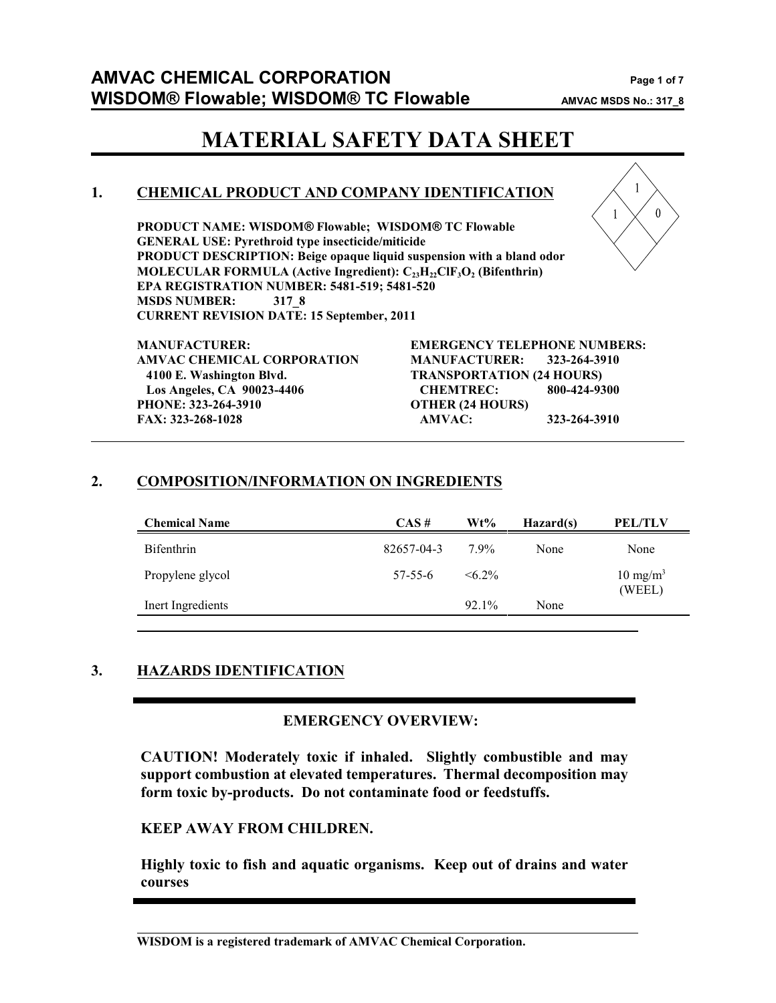$\theta$ 

# **MATERIAL SAFETY DATA SHEET**

# **1. CHEMICAL PRODUCT AND COMPANY IDENTIFICATION**

**PRODUCT NAME: WISDOM® Flowable; WISDOM® TC Flowable GENERAL USE: Pyrethroid type insecticide/miticide PRODUCT DESCRIPTION: Beige opaque liquid suspension with a bland odor MOLECULAR FORMULA (Active Ingredient):**  $\text{C}_{23}\text{H}_{22}\text{CIF}_{3}\text{O}_{2}$  **(Bifenthrin) EPA REGISTRATION NUMBER: 5481-519; 5481-520 MSDS NUMBER: 317\_8 CURRENT REVISION DATE: 15 September, 2011**



# **2. COMPOSITION/INFORMATION ON INGREDIENTS**

| <b>Chemical Name</b> | $CAS \#$      | Wt%          | Hazard(s) | <b>PEL/TLV</b>                |
|----------------------|---------------|--------------|-----------|-------------------------------|
| <b>Bifenthrin</b>    | 82657-04-3    | $7.9\%$      | None      | None                          |
| Propylene glycol     | $57 - 55 - 6$ | $\leq 6.2\%$ |           | $10 \text{ mg/m}^3$<br>(WEEL) |
| Inert Ingredients    |               | 92.1%        | None      |                               |
|                      |               |              |           |                               |

# **3. HAZARDS IDENTIFICATION**

### **EMERGENCY OVERVIEW:**

**CAUTION! Moderately toxic if inhaled. Slightly combustible and may support combustion at elevated temperatures. Thermal decomposition may form toxic by-products. Do not contaminate food or feedstuffs.**

### **KEEP AWAY FROM CHILDREN.**

**Highly toxic to fish and aquatic organisms. Keep out of drains and water courses**

**WISDOM is a registered trademark of AMVAC Chemical Corporation.**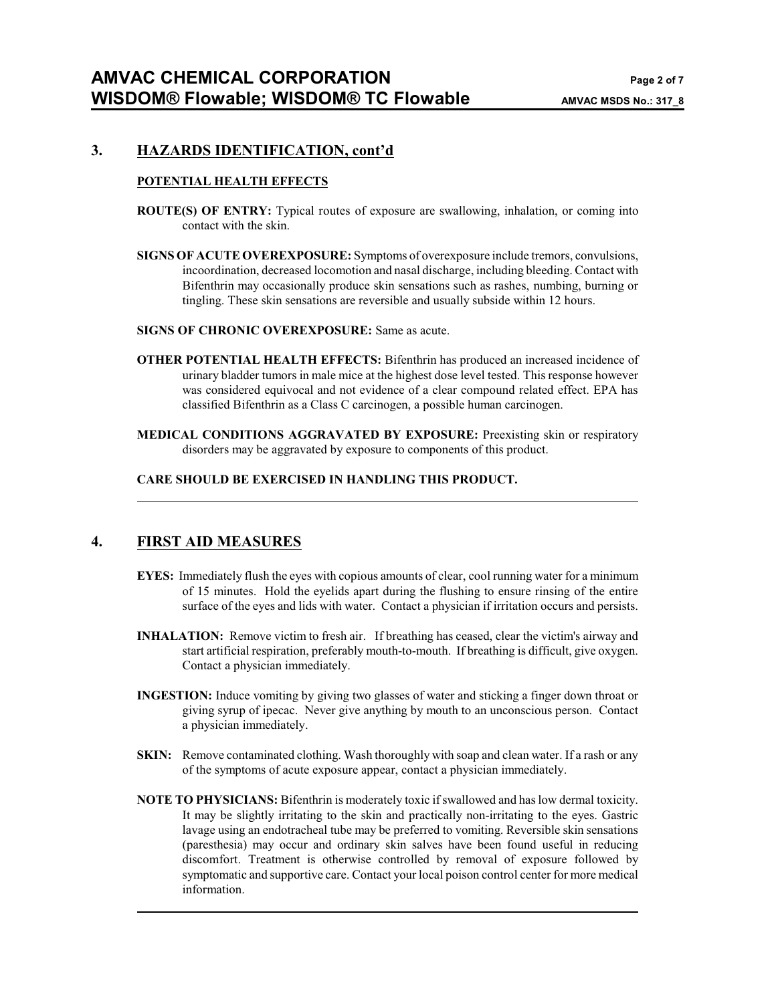#### **3. HAZARDS IDENTIFICATION, cont'd**

#### **POTENTIAL HEALTH EFFECTS**

- **ROUTE(S) OF ENTRY:** Typical routes of exposure are swallowing, inhalation, or coming into contact with the skin.
- **SIGNS OF ACUTE OVEREXPOSURE:** Symptoms of overexposure include tremors, convulsions, incoordination, decreased locomotion and nasal discharge, including bleeding. Contact with Bifenthrin may occasionally produce skin sensations such as rashes, numbing, burning or tingling. These skin sensations are reversible and usually subside within 12 hours.

#### **SIGNS OF CHRONIC OVEREXPOSURE:** Same as acute.

- **OTHER POTENTIAL HEALTH EFFECTS:** Bifenthrin has produced an increased incidence of urinary bladder tumors in male mice at the highest dose level tested. This response however was considered equivocal and not evidence of a clear compound related effect. EPA has classified Bifenthrin as a Class C carcinogen, a possible human carcinogen.
- **MEDICAL CONDITIONS AGGRAVATED BY EXPOSURE:** Preexisting skin or respiratory disorders may be aggravated by exposure to components of this product.

#### **CARE SHOULD BE EXERCISED IN HANDLING THIS PRODUCT.**

### **4. FIRST AID MEASURES**

- **EYES:** Immediately flush the eyes with copious amounts of clear, cool running water for a minimum of 15 minutes. Hold the eyelids apart during the flushing to ensure rinsing of the entire surface of the eyes and lids with water. Contact a physician if irritation occurs and persists.
- **INHALATION:** Remove victim to fresh air. If breathing has ceased, clear the victim's airway and start artificial respiration, preferably mouth-to-mouth. If breathing is difficult, give oxygen. Contact a physician immediately.
- **INGESTION:** Induce vomiting by giving two glasses of water and sticking a finger down throat or giving syrup of ipecac. Never give anything by mouth to an unconscious person. Contact a physician immediately.
- **SKIN:** Remove contaminated clothing. Wash thoroughly with soap and clean water. If a rash or any of the symptoms of acute exposure appear, contact a physician immediately.
- **NOTE TO PHYSICIANS:** Bifenthrin is moderately toxic if swallowed and has low dermal toxicity. It may be slightly irritating to the skin and practically non-irritating to the eyes. Gastric lavage using an endotracheal tube may be preferred to vomiting. Reversible skin sensations (paresthesia) may occur and ordinary skin salves have been found useful in reducing discomfort. Treatment is otherwise controlled by removal of exposure followed by symptomatic and supportive care. Contact your local poison control center for more medical information.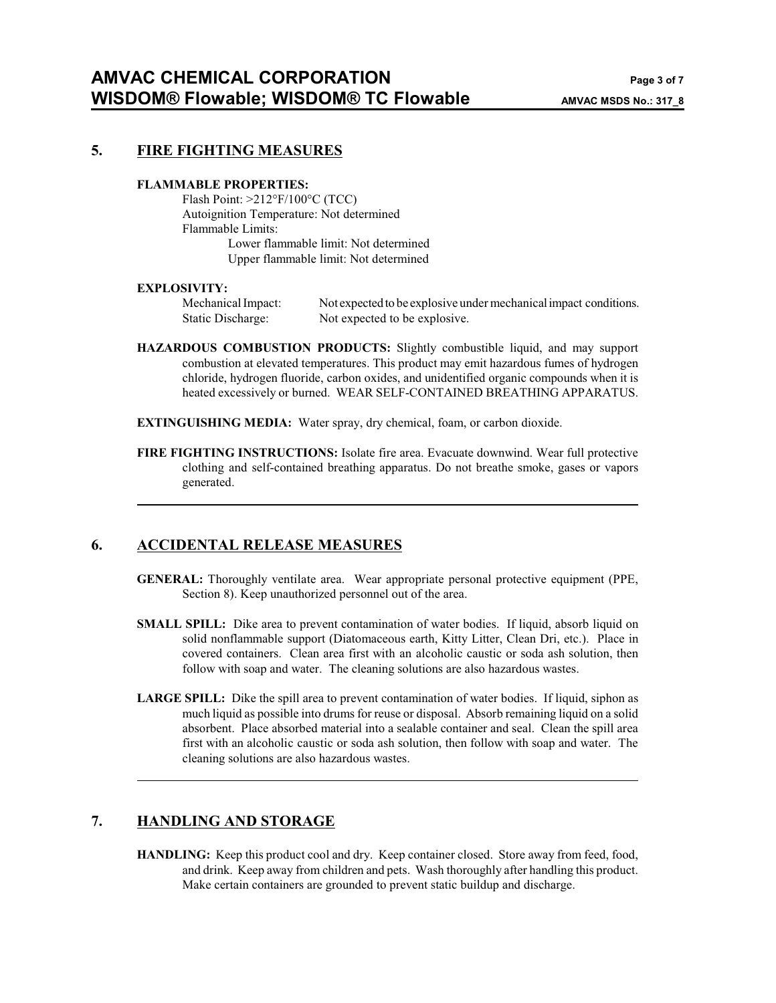#### **5. FIRE FIGHTING MEASURES**

#### **FLAMMABLE PROPERTIES:**

Flash Point: >212°F/100°C (TCC) Autoignition Temperature: Not determined Flammable Limits: Lower flammable limit: Not determined Upper flammable limit: Not determined

#### **EXPLOSIVITY:**

Mechanical Impact: Not expected to be explosive under mechanicalimpact conditions. Static Discharge: Not expected to be explosive.

- **HAZARDOUS COMBUSTION PRODUCTS:** Slightly combustible liquid, and may support combustion at elevated temperatures. This product may emit hazardous fumes of hydrogen chloride, hydrogen fluoride, carbon oxides, and unidentified organic compounds when it is heated excessively or burned. WEAR SELF-CONTAINED BREATHING APPARATUS.
- **EXTINGUISHING MEDIA:** Water spray, dry chemical, foam, or carbon dioxide.
- **FIRE FIGHTING INSTRUCTIONS:** Isolate fire area. Evacuate downwind. Wear full protective clothing and self-contained breathing apparatus. Do not breathe smoke, gases or vapors generated.

### **6. ACCIDENTAL RELEASE MEASURES**

- **GENERAL:** Thoroughly ventilate area. Wear appropriate personal protective equipment (PPE, Section 8). Keep unauthorized personnel out of the area.
- **SMALL SPILL:** Dike area to prevent contamination of water bodies. If liquid, absorb liquid on solid nonflammable support (Diatomaceous earth, Kitty Litter, Clean Dri, etc.). Place in covered containers. Clean area first with an alcoholic caustic or soda ash solution, then follow with soap and water. The cleaning solutions are also hazardous wastes.
- **LARGE SPILL:** Dike the spill area to prevent contamination of water bodies. If liquid, siphon as much liquid as possible into drums for reuse or disposal. Absorb remaining liquid on a solid absorbent. Place absorbed material into a sealable container and seal. Clean the spill area first with an alcoholic caustic or soda ash solution, then follow with soap and water. The cleaning solutions are also hazardous wastes.

### **7. HANDLING AND STORAGE**

**HANDLING:** Keep this product cool and dry. Keep container closed. Store away from feed, food, and drink. Keep away from children and pets. Wash thoroughly after handling this product. Make certain containers are grounded to prevent static buildup and discharge.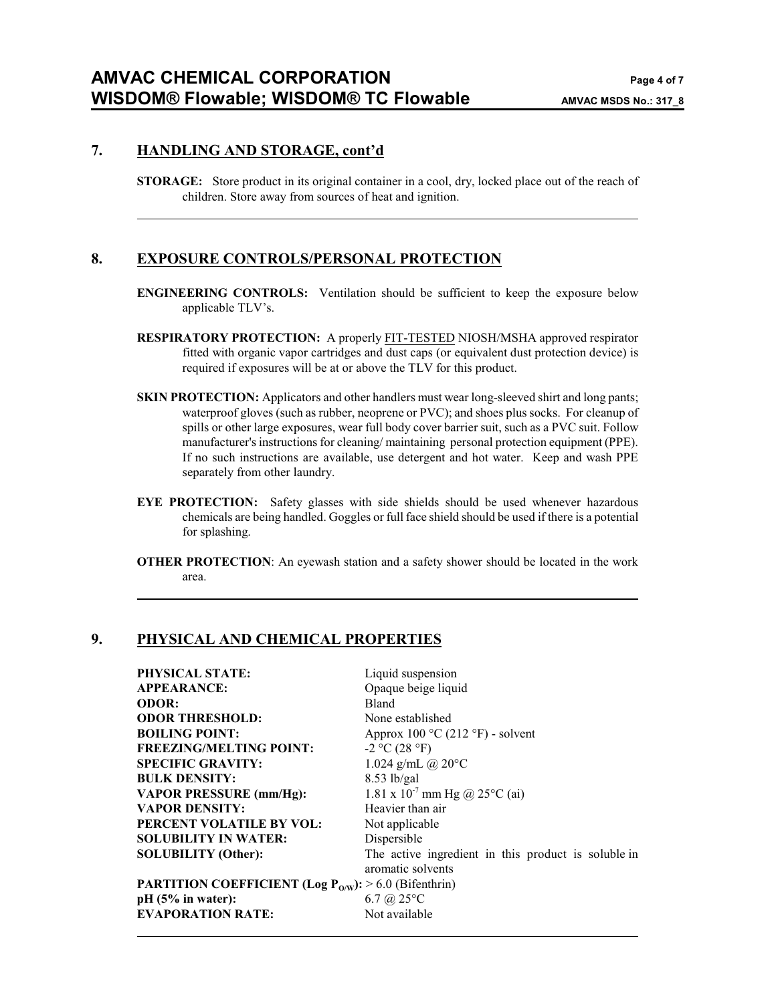#### **7. HANDLING AND STORAGE, cont'd**

**STORAGE:** Store product in its original container in a cool, dry, locked place out of the reach of children. Store away from sources of heat and ignition.

#### **8. EXPOSURE CONTROLS/PERSONAL PROTECTION**

- **ENGINEERING CONTROLS:** Ventilation should be sufficient to keep the exposure below applicable TLV's.
- **RESPIRATORY PROTECTION:** A properly FIT-TESTED NIOSH/MSHA approved respirator fitted with organic vapor cartridges and dust caps (or equivalent dust protection device) is required if exposures will be at or above the TLV for this product.
- **SKIN PROTECTION:** Applicators and other handlers must wear long-sleeved shirt and long pants; waterproof gloves (such as rubber, neoprene or PVC); and shoes plus socks. For cleanup of spills or other large exposures, wear full body cover barrier suit, such as a PVC suit. Follow manufacturer's instructions for cleaning/ maintaining personal protection equipment (PPE). If no such instructions are available, use detergent and hot water. Keep and wash PPE separately from other laundry.
- **EYE PROTECTION:** Safety glasses with side shields should be used whenever hazardous chemicals are being handled. Goggles or full face shield should be used if there is a potential for splashing.
- **OTHER PROTECTION:** An eyewash station and a safety shower should be located in the work area.

#### **9. PHYSICAL AND CHEMICAL PROPERTIES**

| <b>PHYSICAL STATE:</b>                                                 | Liquid suspension                                                        |
|------------------------------------------------------------------------|--------------------------------------------------------------------------|
| <b>APPEARANCE:</b>                                                     | Opaque beige liquid                                                      |
| <b>ODOR:</b>                                                           | Bland                                                                    |
| <b>ODOR THRESHOLD:</b>                                                 | None established                                                         |
| <b>BOILING POINT:</b>                                                  | Approx 100 °C (212 °F) - solvent                                         |
| <b>FREEZING/MELTING POINT:</b>                                         | $-2$ °C (28 °F)                                                          |
| <b>SPECIFIC GRAVITY:</b>                                               | 1.024 g/mL @ $20^{\circ}$ C                                              |
| <b>BULK DENSITY:</b>                                                   | $8.53$ lb/gal                                                            |
| <b>VAPOR PRESSURE (mm/Hg):</b>                                         | 1.81 x $10^{-7}$ mm Hg @ 25°C (ai)                                       |
| <b>VAPOR DENSITY:</b>                                                  | Heavier than air                                                         |
| PERCENT VOLATILE BY VOL:                                               | Not applicable                                                           |
| <b>SOLUBILITY IN WATER:</b>                                            | Dispersible                                                              |
| <b>SOLUBILITY</b> (Other):                                             | The active ingredient in this product is soluble in<br>aromatic solvents |
| <b>PARTITION COEFFICIENT (Log P<sub>O/W</sub>):</b> > 6.0 (Bifenthrin) |                                                                          |
| pH (5% in water):                                                      | 6.7 @ $25^{\circ}$ C                                                     |
| <b>EVAPORATION RATE:</b>                                               | Not available                                                            |
|                                                                        |                                                                          |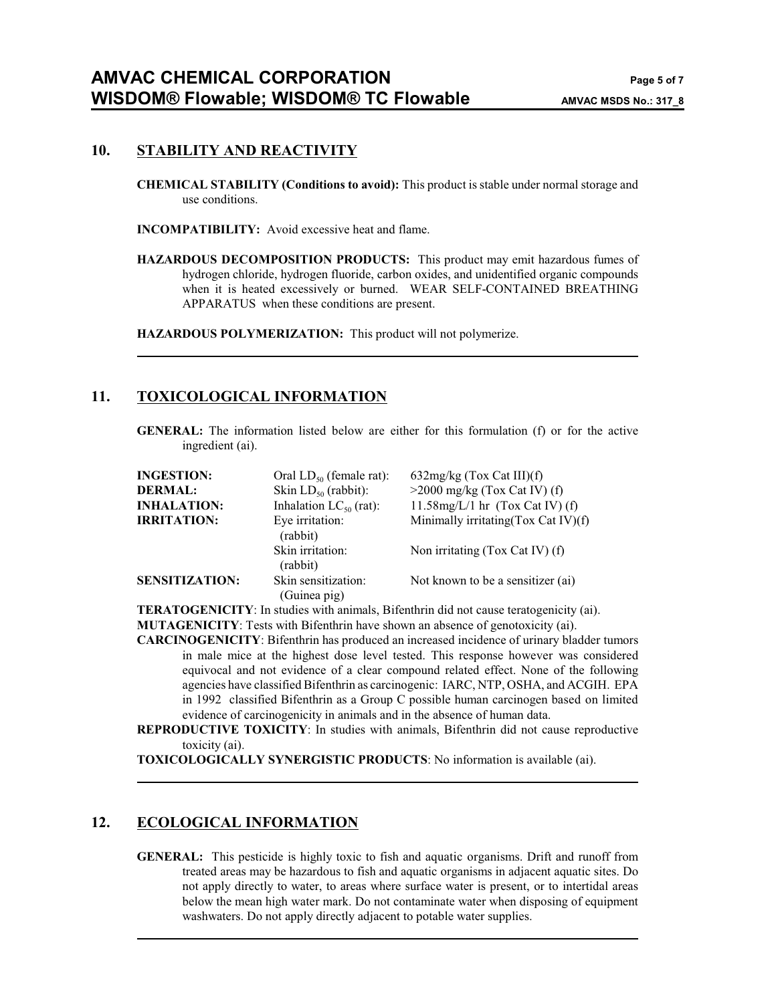#### **10. STABILITY AND REACTIVITY**

**CHEMICAL STABILITY (Conditions to avoid):** This product is stable under normal storage and use conditions.

**INCOMPATIBILITY:** Avoid excessive heat and flame.

**HAZARDOUS DECOMPOSITION PRODUCTS:** This product may emit hazardous fumes of hydrogen chloride, hydrogen fluoride, carbon oxides, and unidentified organic compounds when it is heated excessively or burned. WEAR SELF-CONTAINED BREATHING APPARATUS when these conditions are present.

**HAZARDOUS POLYMERIZATION:** This product will not polymerize.

### **11. TOXICOLOGICAL INFORMATION**

**GENERAL:** The information listed below are either for this formulation (f) or for the active ingredient (ai).

| <b>INGESTION:</b>     | Oral $LD_{50}$ (female rat):        | $632mg/kg$ (Tox Cat III)(f)          |
|-----------------------|-------------------------------------|--------------------------------------|
| <b>DERMAL:</b>        | Skin $LD_{50}$ (rabbit):            | $>2000$ mg/kg (Tox Cat IV) (f)       |
| <b>INHALATION:</b>    | Inhalation $LC_{50}$ (rat):         | 11.58mg/L/1 hr $(Tox Cat IV)$ (f)    |
| <b>IRRITATION:</b>    | Eye irritation:<br>(rabbit)         | Minimally irritating (Tox Cat IV)(f) |
|                       | Skin irritation:<br>(rabbit)        | Non irritating (Tox Cat IV) (f)      |
| <b>SENSITIZATION:</b> | Skin sensitization:<br>(Guinea pig) | Not known to be a sensitizer (ai)    |

**TERATOGENICITY**: In studies with animals, Bifenthrin did not cause teratogenicity (ai). **MUTAGENICITY**: Tests with Bifenthrin have shown an absence of genotoxicity (ai).

**CARCINOGENICITY**: Bifenthrin has produced an increased incidence of urinary bladder tumors in male mice at the highest dose level tested. This response however was considered equivocal and not evidence of a clear compound related effect. None of the following agencies have classified Bifenthrin as carcinogenic: IARC, NTP, OSHA, and ACGIH. EPA

in 1992 classified Bifenthrin as a Group C possible human carcinogen based on limited evidence of carcinogenicity in animals and in the absence of human data.

**REPRODUCTIVE TOXICITY**: In studies with animals, Bifenthrin did not cause reproductive toxicity (ai).

**TOXICOLOGICALLY SYNERGISTIC PRODUCTS**: No information is available (ai).

### **12. ECOLOGICAL INFORMATION**

**GENERAL:** This pesticide is highly toxic to fish and aquatic organisms. Drift and runoff from treated areas may be hazardous to fish and aquatic organisms in adjacent aquatic sites. Do not apply directly to water, to areas where surface water is present, or to intertidal areas below the mean high water mark. Do not contaminate water when disposing of equipment washwaters. Do not apply directly adjacent to potable water supplies.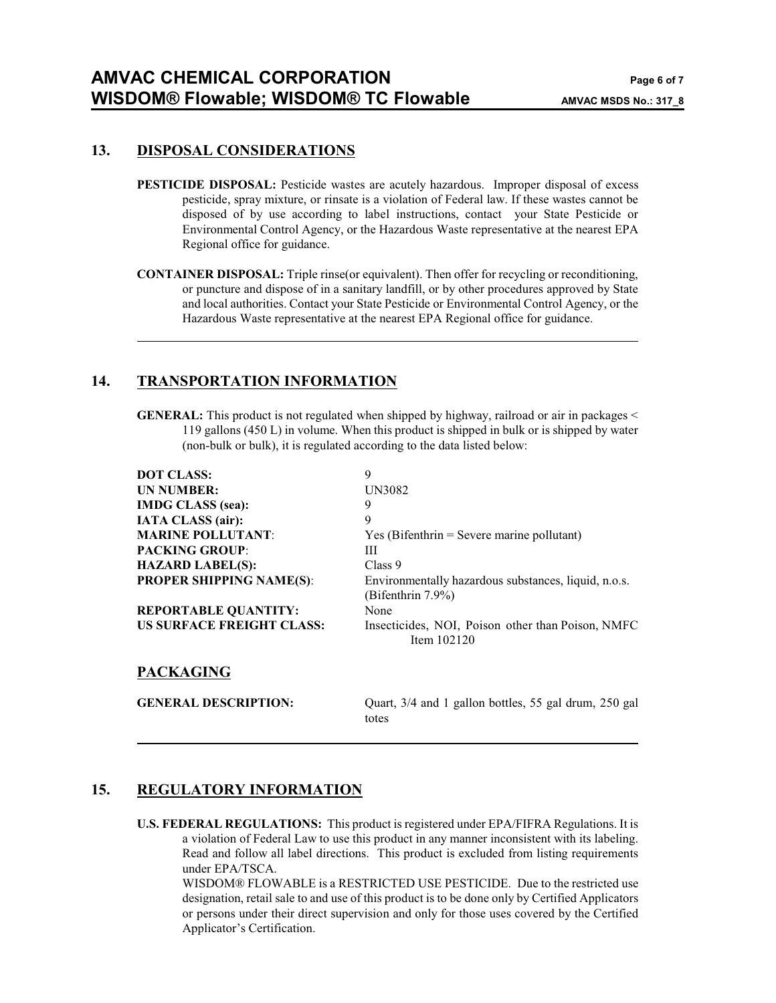#### **13. DISPOSAL CONSIDERATIONS**

- **PESTICIDE DISPOSAL:** Pesticide wastes are acutely hazardous. Improper disposal of excess pesticide, spray mixture, or rinsate is a violation of Federal law. If these wastes cannot be disposed of by use according to label instructions, contact your State Pesticide or Environmental Control Agency, or the Hazardous Waste representative at the nearest EPA Regional office for guidance.
- **CONTAINER DISPOSAL:** Triple rinse(or equivalent). Then offer for recycling or reconditioning, or puncture and dispose of in a sanitary landfill, or by other procedures approved by State and local authorities. Contact your State Pesticide or Environmental Control Agency, or the Hazardous Waste representative at the nearest EPA Regional office for guidance.

### **14. TRANSPORTATION INFORMATION**

**GENERAL:** This product is not regulated when shipped by highway, railroad or air in packages < 119 gallons (450 L) in volume. When this product is shipped in bulk or is shipped by water (non-bulk or bulk), it is regulated according to the data listed below:

| <b>DOT CLASS:</b>                | 9                                                              |
|----------------------------------|----------------------------------------------------------------|
| <b>UN NUMBER:</b>                | UN3082                                                         |
| <b>IMDG CLASS</b> (sea):         | 9                                                              |
| <b>IATA CLASS</b> (air):         | 9                                                              |
| <b>MARINE POLLUTANT:</b>         | $Yes$ (Bifenthrin = Severe marine pollutant)                   |
| <b>PACKING GROUP:</b>            | Ш                                                              |
| <b>HAZARD LABEL(S):</b>          | Class 9                                                        |
| <b>PROPER SHIPPING NAME(S):</b>  | Environmentally hazardous substances, liquid, n.o.s.           |
|                                  | (Bifenthrin $7.9\%$ )                                          |
| <b>REPORTABLE QUANTITY:</b>      | None                                                           |
| <b>US SURFACE FREIGHT CLASS:</b> | Insecticides, NOI, Poison other than Poison, NMFC              |
|                                  | Item $102120$                                                  |
| <b>PACKAGING</b>                 |                                                                |
| <b>GENERAL DESCRIPTION:</b>      | Quart, 3/4 and 1 gallon bottles, 55 gal drum, 250 gal<br>totes |

# **15. REGULATORY INFORMATION**

**U.S. FEDERAL REGULATIONS:** This product is registered under EPA/FIFRA Regulations. It is a violation of Federal Law to use this product in any manner inconsistent with its labeling. Read and follow all label directions. This product is excluded from listing requirements under EPA/TSCA.

WISDOM® FLOWABLE is a RESTRICTED USE PESTICIDE. Due to the restricted use designation, retail sale to and use of this product is to be done only by Certified Applicators or persons under their direct supervision and only for those uses covered by the Certified Applicator's Certification.